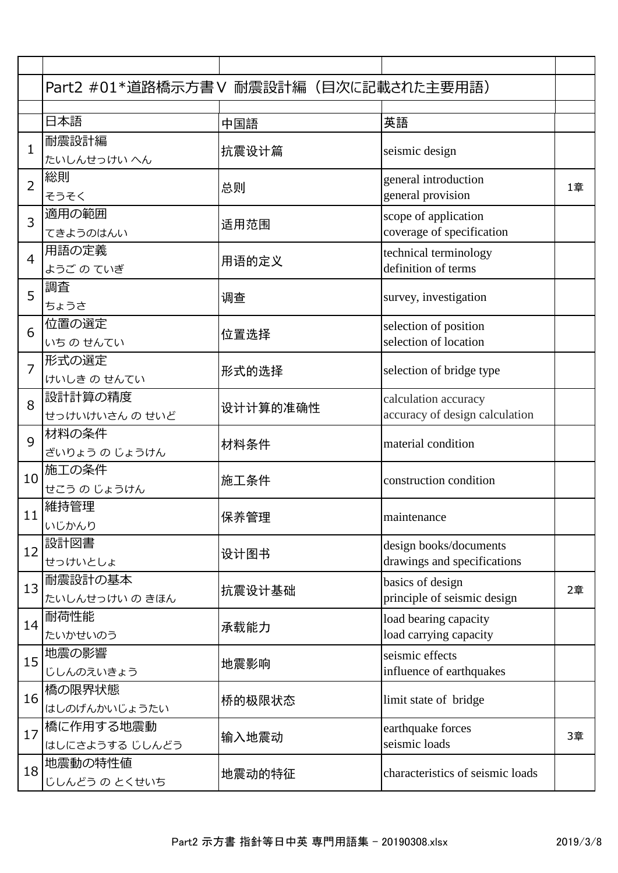|                | Part2 #01*道路橋示方書V 耐震設計編 (目次に記載された主要用語) |          |                                                        |    |
|----------------|----------------------------------------|----------|--------------------------------------------------------|----|
|                | 日本語                                    |          | 英語                                                     |    |
|                | 耐震設計編                                  | 中国語      |                                                        |    |
| $\mathbf{1}$   | たいしんせっけい へん                            | 抗震设计篇    | seismic design                                         |    |
| $\overline{2}$ | 総則<br>そうそく                             | 总则       | general introduction<br>general provision              | 1章 |
| 3              | 適用の範囲<br>てきようのはんい                      | 适用范围     | scope of application<br>coverage of specification      |    |
| $\overline{4}$ | 用語の定義<br>ようご の ていぎ                     | 用语的定义    | technical terminology<br>definition of terms           |    |
| 5              | 調査<br>ちょうさ                             | 调查       | survey, investigation                                  |    |
| 6              | 位置の選定<br>いちのせんてい                       | 位置选择     | selection of position<br>selection of location         |    |
| $\overline{7}$ | 形式の選定<br>けいしき のせんてい                    | 形式的选择    | selection of bridge type                               |    |
| 8              | 設計計算の精度<br>せっけいけいさん のせいど               | 设计计算的准确性 | calculation accuracy<br>accuracy of design calculation |    |
| 9              | 材料の条件<br>ざいりょう の じょうけん                 | 材料条件     | material condition                                     |    |
| 10             | 施工の条件<br>せこう の じょうけん                   | 施工条件     | construction condition                                 |    |
| 11             | 維持管理<br>いじかんり                          | 保养管理     | maintenance                                            |    |
| 12             | 設計図書<br>せっけいとしょ                        | 设计图书     | design books/documents<br>drawings and specifications  |    |
| 13             | 耐震設計の基本<br>たいしんせっけい のきほん               | 抗震设计基础   | basics of design<br>principle of seismic design        | 2章 |
| 14             | 耐荷性能<br>たいかせいのう                        | 承载能力     | load bearing capacity<br>load carrying capacity        |    |
| 15             | 地震の影響<br>じしんのえいきょう                     | 地震影响     | seismic effects<br>influence of earthquakes            |    |
| 16             | 橋の限界状態<br>はしのげんかいじょうたい                 | 桥的极限状态   | limit state of bridge                                  |    |
| 17             | 橋に作用する地震動<br>はしにさようする じしんどう            | 输入地震动    | earthquake forces<br>seismic loads                     | 3章 |
| 18             | 地震動の特性値<br>じしんどう の とくせいち               | 地震动的特征   | characteristics of seismic loads                       |    |